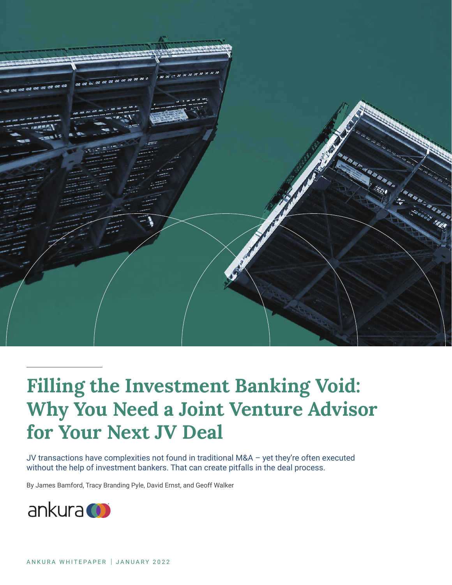

# **Filling the Investment Banking Void: Why You Need a Joint Venture Advisor for Your Next JV Deal**

JV transactions have complexities not found in traditional M&A – yet they're often executed without the help of investment bankers. That can create pitfalls in the deal process.

By James Bamford, Tracy Branding Pyle, David Ernst, and Geoff Walker

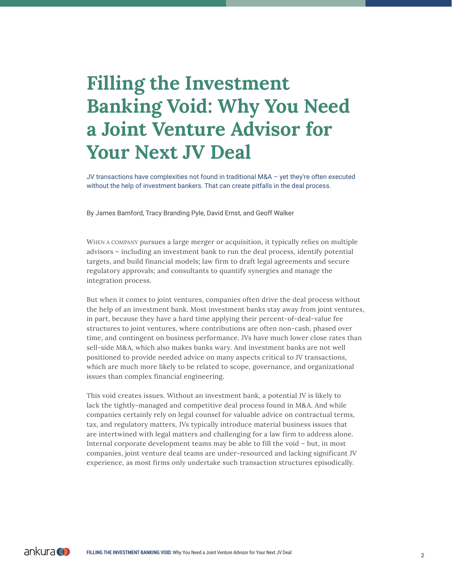# **Filling the Investment Banking Void: Why You Need a Joint Venture Advisor for Your Next JV Deal**

JV transactions have complexities not found in traditional M&A – yet they're often executed without the help of investment bankers. That can create pitfalls in the deal process.

By James Bamford, Tracy Branding Pyle, David Ernst, and Geoff Walker

WHEN A COMPANY pursues a large merger or acquisition, it typically relies on multiple advisors – including an investment bank to run the deal process, identify potential targets, and build financial models; law firm to draft legal agreements and secure regulatory approvals; and consultants to quantify synergies and manage the integration process.

But when it comes to joint ventures, companies often drive the deal process without the help of an investment bank. Most investment banks stay away from joint ventures, in part, because they have a hard time applying their percent-of-deal-value fee structures to joint ventures, where contributions are often non-cash, phased over time, and contingent on business performance. JVs have much lower close rates than sell-side M&A, which also makes banks wary. And investment banks are not well positioned to provide needed advice on many aspects critical to JV transactions, which are much more likely to be related to scope, governance, and organizational issues than complex financial engineering.

This void creates issues. Without an investment bank, a potential JV is likely to lack the tightly-managed and competitive deal process found in M&A. And while companies certainly rely on legal counsel for valuable advice on contractual terms, tax, and regulatory matters, JVs typically introduce material business issues that are intertwined with legal matters and challenging for a law firm to address alone. Internal corporate development teams may be able to fill the void – but, in most companies, joint venture deal teams are under-resourced and lacking significant JV experience, as most firms only undertake such transaction structures episodically.

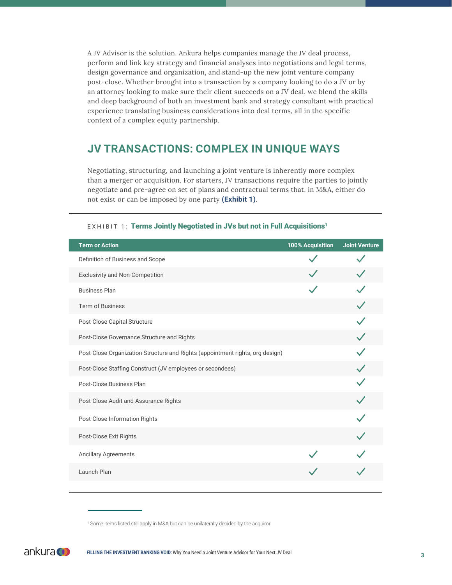A JV Advisor is the solution. Ankura helps companies manage the JV deal process, perform and link key strategy and financial analyses into negotiations and legal terms, design governance and organization, and stand-up the new joint venture company post-close. Whether brought into a transaction by a company looking to do a JV or by an attorney looking to make sure their client succeeds on a JV deal, we blend the skills and deep background of both an investment bank and strategy consultant with practical experience translating business considerations into deal terms, all in the specific context of a complex equity partnership.

### **JV TRANSACTIONS: COMPLEX IN UNIQUE WAYS**

Negotiating, structuring, and launching a joint venture is inherently more complex than a merger or acquisition. For starters, JV transactions require the parties to jointly negotiate and pre-agree on set of plans and contractual terms that, in M&A, either do not exist or can be imposed by one party **(Exhibit 1)**.

| <b>Term or Action</b>                                                         | 100% Acquisition | <b>Joint Venture</b> |
|-------------------------------------------------------------------------------|------------------|----------------------|
| Definition of Business and Scope                                              |                  |                      |
| <b>Exclusivity and Non-Competition</b>                                        |                  |                      |
| <b>Business Plan</b>                                                          |                  |                      |
| <b>Term of Business</b>                                                       |                  |                      |
| Post-Close Capital Structure                                                  |                  |                      |
| Post-Close Governance Structure and Rights                                    |                  |                      |
| Post-Close Organization Structure and Rights (appointment rights, org design) |                  |                      |
| Post-Close Staffing Construct (JV employees or secondees)                     |                  |                      |
| Post-Close Business Plan                                                      |                  |                      |
| Post-Close Audit and Assurance Rights                                         |                  |                      |
| Post-Close Information Rights                                                 |                  |                      |
| Post-Close Exit Rights                                                        |                  |                      |
| <b>Ancillary Agreements</b>                                                   |                  |                      |
| Launch Plan                                                                   |                  |                      |

#### EXHIBIT 1: Terms Jointly Negotiated in JVs but not in Full Acquisitions<sup>1</sup>

<sup>&</sup>lt;sup>1</sup> Some items listed still apply in M&A but can be unilaterally decided by the acquiror

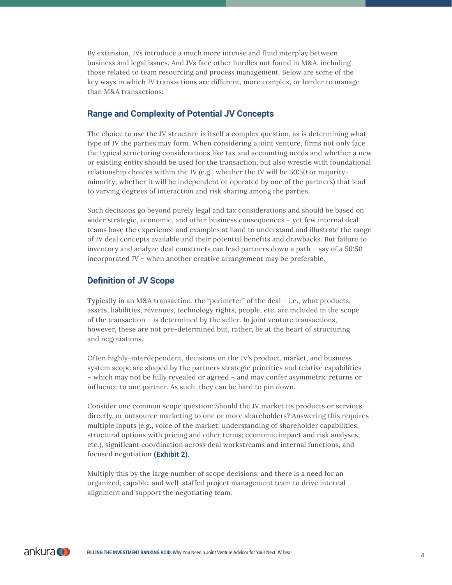By extension, JVs introduce a much more intense and fluid interplay between business and legal issues. And JVs face other hurdles not found in M&A, including those related to team resourcing and process management. Below are some of the key ways in which JV transactions are different, more complex, or harder to manage than M&A transactions:

#### **Range and Complexity of Potential JV Concepts**

The choice to use the JV structure is itself a complex question, as is determining what type of JV the parties may form. When considering a joint venture, firms not only face the typical structuring considerations like tax and accounting needs and whether a new or existing entity should be used for the transaction, but also wrestle with foundational relationship choices within the JV (e.g., whether the JV will be 50:50 or majorityminority; whether it will be independent or operated by one of the partners) that lead to varying degrees of interaction and risk sharing among the parties.

Such decisions go beyond purely legal and tax considerations and should be based on wider strategic, economic, and other business consequences – yet few internal deal teams have the experience and examples at hand to understand and illustrate the range of JV deal concepts available and their potential benefits and drawbacks. But failure to inventory and analyze deal constructs can lead partners down a path – say of a 50:50 incorporated JV – when another creative arrangement may be preferable.

#### **Definition of JV Scope**

Typically in an M&A transaction, the "perimeter" of the deal – i.e., what products, assets, liabilities, revenues, technology rights, people, etc. are included in the scope of the transaction – is determined by the seller. In joint venture transactions, however, these are not pre-determined but, rather, lie at the heart of structuring and negotiations.

Often highly-interdependent, decisions on the JV's product, market, and business system scope are shaped by the partners strategic priorities and relative capabilities – which may not be fully revealed or agreed – and may confer asymmetric returns or influence to one partner. As such, they can be hard to pin down.

Consider one common scope question: Should the JV market its products or services directly, or outsource marketing to one or more shareholders? Answering this requires multiple inputs (e.g., voice of the market; understanding of shareholder capabilities; structural options with pricing and other terms; economic impact and risk analyses; etc.), significant coordination across deal workstreams and internal functions, and focused negotiation **(Exhibit 2)**.

Multiply this by the large number of scope decisions, and there is a need for an organized, capable, and well-staffed project management team to drive internal alignment and support the negotiating team.

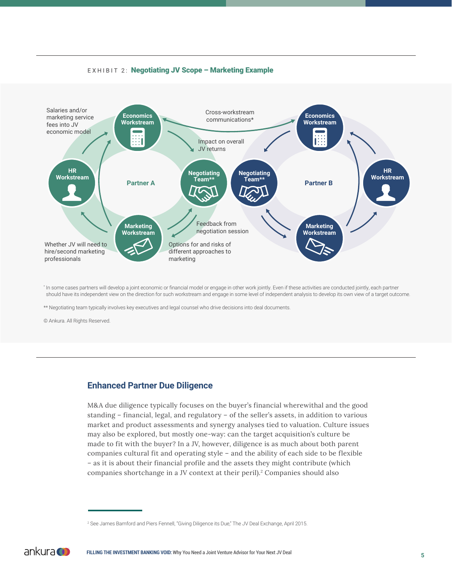



\* In some cases partners will develop a joint economic or financial model or engage in other work jointly. Even if these activities are conducted jointly, each partner should have its independent view on the direction for such workstream and engage in some level of independent analysis to develop its own view of a target outcome.

\*\* Negotiating team typically involves key executives and legal counsel who drive decisions into deal documents.

© Ankura. All Rights Reserved.

#### **Enhanced Partner Due Diligence**

M&A due diligence typically focuses on the buyer's financial wherewithal and the good standing – financial, legal, and regulatory – of the seller's assets, in addition to various market and product assessments and synergy analyses tied to valuation. Culture issues may also be explored, but mostly one-way: can the target acquisition's culture be made to fit with the buyer? In a JV, however, diligence is as much about both parent companies cultural fit and operating style – and the ability of each side to be flexible – as it is about their financial profile and the assets they might contribute (which companies shortchange in a JV context at their peril).<sup>2</sup> Companies should also

<sup>&</sup>lt;sup>2</sup> See James Bamford and Piers Fennell, "Giving Diligence its Due," The JV Deal Exchange, April 2015.

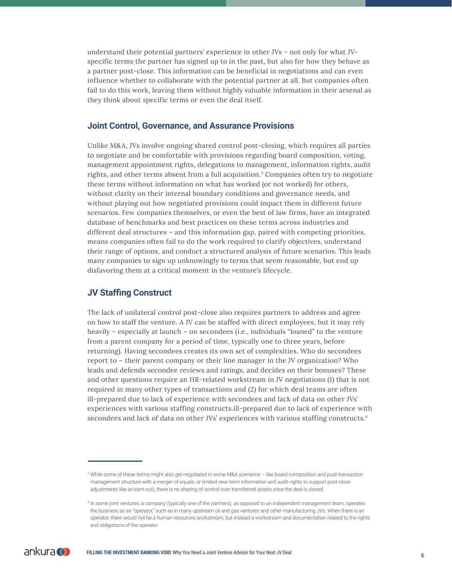understand their potential partners' experience in other JVs – not only for what JVspecific terms the partner has signed up to in the past, but also for how they behave as a partner post-close. This information can be beneficial in negotiations and can even influence whether to collaborate with the potential partner at all. But companies often fail to do this work, leaving them without highly valuable information in their arsenal as they think about specific terms or even the deal itself.

#### **Joint Control, Governance, and Assurance Provisions**

Unlike M&A, JVs involve ongoing shared control post-closing, which requires all parties to negotiate and be comfortable with provisions regarding board composition, voting, management appointment rights, delegations to management, information rights, audit rights, and other terms absent from a full acquisition.<sup>3</sup> Companies often try to negotiate these terms without information on what has worked (or not worked) for others, without clarity on their internal boundary conditions and governance needs, and without playing out how negotiated provisions could impact them in different future scenarios. Few companies themselves, or even the best of law firms, have an integrated database of benchmarks and best practices on these terms across industries and different deal structures – and this information gap, paired with competing priorities, means companies often fail to do the work required to clarify objectives, understand their range of options, and conduct a structured analysis of future scenarios. This leads many companies to sign up unknowingly to terms that seem reasonable, but end up disfavoring them at a critical moment in the venture's lifecycle.

#### **JV Staffing Construct**

The lack of unilateral control post-close also requires partners to address and agree on how to staff the venture. A JV can be staffed with direct employees, but it may rely heavily – especially at launch – on secondees (i.e., individuals "loaned" to the venture from a parent company for a period of time, typically one to three years, before returning). Having secondees creates its own set of complexities. Who do secondees report to – their parent company or their line manager in the JV organization? Who leads and defends secondee reviews and ratings, and decides on their bonuses? These and other questions require an HR-related workstream in JV negotiations (1) that is not required in many other types of transactions and (2) for which deal teams are often ill-prepared due to lack of experience with secondees and lack of data on other JVs' experiences with various staffing constructs.ill-prepared due to lack of experience with secondees and lack of data on other JVs' experiences with various staffing constructs.4

<sup>4</sup> In some joint ventures, a company (typically one of the partners), as opposed to an independent management team, operates the business as an "operator," such as in many upstream oil and gas ventures and other manufacturing JVs. When there is an operator, there would not be a human resources workstream, but instead a workstream and documentation related to the rights and obligations of the operator.



<sup>&</sup>lt;sup>3</sup> While some of these terms might also get negotiated in some M&A scenarios - like board composition and post-transaction management structure with a merger of equals, or limited near-term information and audit rights to support post-close adjustments like an earn-out), there is no sharing of control over transferred assets once the deal is closed.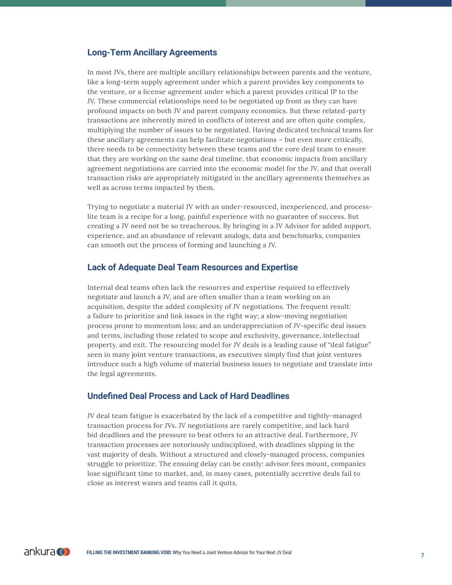#### **Long-Term Ancillary Agreements**

In most JVs, there are multiple ancillary relationships between parents and the venture, like a long-term supply agreement under which a parent provides key components to the venture, or a license agreement under which a parent provides critical IP to the JV. These commercial relationships need to be negotiated up front as they can have profound impacts on both JV and parent company economics. But these related-party transactions are inherently mired in conflicts of interest and are often quite complex, multiplying the number of issues to be negotiated. Having dedicated technical teams for these ancillary agreements can help facilitate negotiations – but even more critically, there needs to be connectivity between these teams and the core deal team to ensure that they are working on the same deal timeline, that economic impacts from ancillary agreement negotiations are carried into the economic model for the JV, and that overall transaction risks are appropriately mitigated in the ancillary agreements themselves as well as across terms impacted by them.

Trying to negotiate a material JV with an under-resourced, inexperienced, and processlite team is a recipe for a long, painful experience with no guarantee of success. But creating a JV need not be so treacherous. By bringing in a JV Advisor for added support, experience, and an abundance of relevant analogs, data and benchmarks, companies can smooth out the process of forming and launching a JV.

#### **Lack of Adequate Deal Team Resources and Expertise**

Internal deal teams often lack the resources and expertise required to effectively negotiate and launch a JV, and are often smaller than a team working on an acquisition, despite the added complexity of JV negotiations. The frequent result: a failure to prioritize and link issues in the right way; a slow-moving negotiation process prone to momentum loss; and an underappreciation of JV-specific deal issues and terms, including those related to scope and exclusivity, governance, intellectual property, and exit. The resourcing model for JV deals is a leading cause of "deal fatigue" seen in many joint venture transactions, as executives simply find that joint ventures introduce such a high volume of material business issues to negotiate and translate into the legal agreements.

#### **Undefined Deal Process and Lack of Hard Deadlines**

JV deal team fatigue is exacerbated by the lack of a competitive and tightly-managed transaction process for JVs. JV negotiations are rarely competitive, and lack hard bid deadlines and the pressure to beat others to an attractive deal. Furthermore, JV transaction processes are notoriously undisciplined, with deadlines slipping in the vast majority of deals. Without a structured and closely-managed process, companies struggle to prioritize. The ensuing delay can be costly: advisor fees mount, companies lose significant time to market, and, in many cases, potentially accretive deals fail to close as interest wanes and teams call it quits.

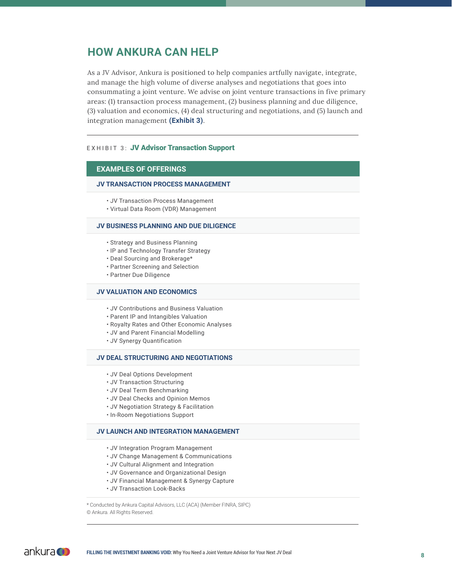#### **HOW ANKURA CAN HELP**

As a JV Advisor, Ankura is positioned to help companies artfully navigate, integrate, and manage the high volume of diverse analyses and negotiations that goes into consummating a joint venture. We advise on joint venture transactions in five primary areas: (1) transaction process management, (2) business planning and due diligence, (3) valuation and economics, (4) deal structuring and negotiations, and (5) launch and integration management **(Exhibit 3)**.

#### EXHIBIT 3: JV Advisor Transaction Support

#### **EXAMPLES OF OFFERINGS**

#### **JV TRANSACTION PROCESS MANAGEMENT**

- JV Transaction Process Management
- Virtual Data Room (VDR) Management

#### **JV BUSINESS PLANNING AND DUE DILIGENCE**

- Strategy and Business Planning
- IP and Technology Transfer Strategy
- Deal Sourcing and Brokerage\*
- Partner Screening and Selection
- Partner Due Diligence

#### **JV VALUATION AND ECONOMICS**

- JV Contributions and Business Valuation
- Parent IP and Intangibles Valuation
- Royalty Rates and Other Economic Analyses
- JV and Parent Financial Modelling
- JV Synergy Quantification

#### **JV DEAL STRUCTURING AND NEGOTIATIONS**

- JV Deal Options Development
- JV Transaction Structuring
- JV Deal Term Benchmarking
- JV Deal Checks and Opinion Memos
- JV Negotiation Strategy & Facilitation
- In-Room Negotiations Support

#### **JV LAUNCH AND INTEGRATION MANAGEMENT**

- JV Integration Program Management
- JV Change Management & Communications
- JV Cultural Alignment and Integration
- JV Governance and Organizational Design
- JV Financial Management & Synergy Capture
- JV Transaction Look-Backs

\* Conducted by Ankura Capital Advisors, LLC (ACA) (Member FINRA, SIPC) © Ankura. All Rights Reserved.

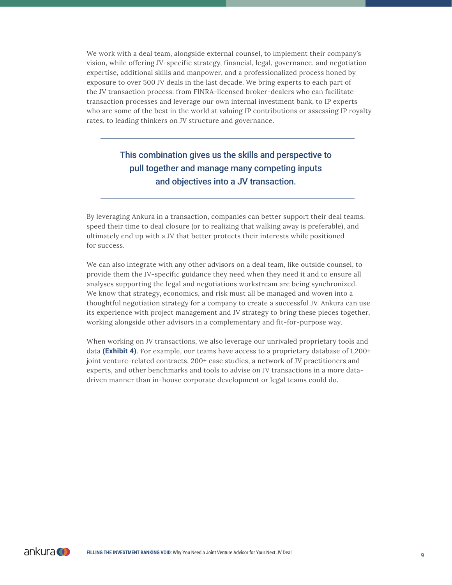We work with a deal team, alongside external counsel, to implement their company's vision, while offering JV-specific strategy, financial, legal, governance, and negotiation expertise, additional skills and manpower, and a professionalized process honed by exposure to over 500 JV deals in the last decade. We bring experts to each part of the JV transaction process: from FINRA-licensed broker-dealers who can facilitate transaction processes and leverage our own internal investment bank, to IP experts who are some of the best in the world at valuing IP contributions or assessing IP royalty rates, to leading thinkers on JV structure and governance.

#### This combination gives us the skills and perspective to pull together and manage many competing inputs and objectives into a JV transaction.

By leveraging Ankura in a transaction, companies can better support their deal teams, speed their time to deal closure (or to realizing that walking away is preferable), and ultimately end up with a JV that better protects their interests while positioned for success.

We can also integrate with any other advisors on a deal team, like outside counsel, to provide them the JV-specific guidance they need when they need it and to ensure all analyses supporting the legal and negotiations workstream are being synchronized. We know that strategy, economics, and risk must all be managed and woven into a thoughtful negotiation strategy for a company to create a successful JV. Ankura can use its experience with project management and JV strategy to bring these pieces together, working alongside other advisors in a complementary and fit-for-purpose way.

When working on JV transactions, we also leverage our unrivaled proprietary tools and data **(Exhibit 4)**. For example, our teams have access to a proprietary database of 1,200+ joint venture-related contracts, 200+ case studies, a network of JV practitioners and experts, and other benchmarks and tools to advise on JV transactions in a more datadriven manner than in-house corporate development or legal teams could do.

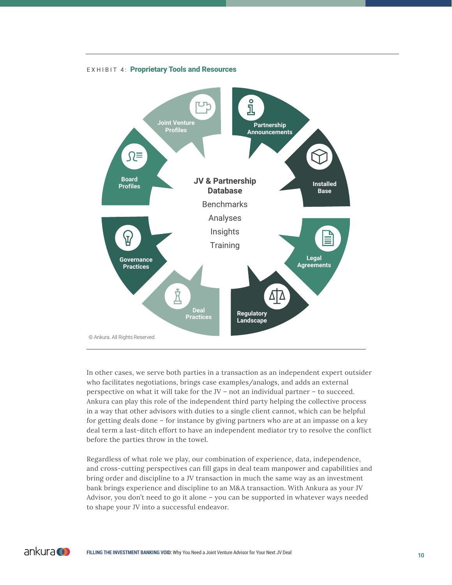

EXHIBIT 4: Proprietary Tools and Resources

In other cases, we serve both parties in a transaction as an independent expert outsider who facilitates negotiations, brings case examples/analogs, and adds an external perspective on what it will take for the JV – not an individual partner – to succeed. Ankura can play this role of the independent third party helping the collective process in a way that other advisors with duties to a single client cannot, which can be helpful for getting deals done – for instance by giving partners who are at an impasse on a key deal term a last-ditch effort to have an independent mediator try to resolve the conflict before the parties throw in the towel.

Regardless of what role we play, our combination of experience, data, independence, and cross-cutting perspectives can fill gaps in deal team manpower and capabilities and bring order and discipline to a JV transaction in much the same way as an investment bank brings experience and discipline to an M&A transaction. With Ankura as your JV Advisor, you don't need to go it alone – you can be supported in whatever ways needed to shape your JV into a successful endeavor.